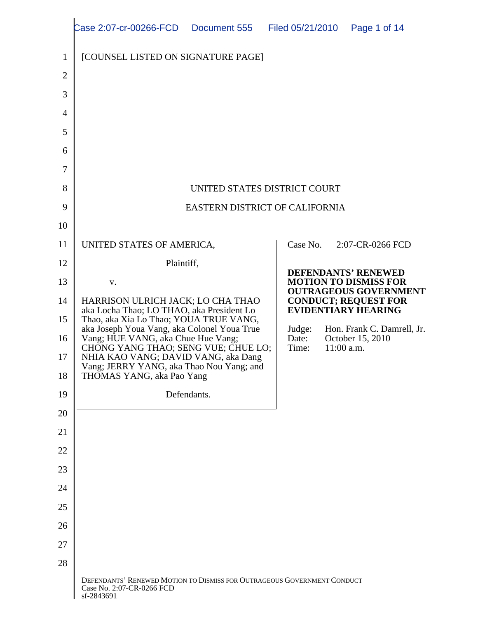|                | Case 2:07-cr-00266-FCD  Document 555  Filed 05/21/2010  Page 1 of 14                                                           |                                                             |
|----------------|--------------------------------------------------------------------------------------------------------------------------------|-------------------------------------------------------------|
|                |                                                                                                                                |                                                             |
|                | $\parallel$ [COUNSEL LISTED ON SIGNATURE PAGE]                                                                                 |                                                             |
| $\gamma$       |                                                                                                                                |                                                             |
|                |                                                                                                                                |                                                             |
| $3 \parallel$  |                                                                                                                                |                                                             |
| $4 \mid$       |                                                                                                                                |                                                             |
| $5 \mid$       |                                                                                                                                |                                                             |
| 6              |                                                                                                                                |                                                             |
|                |                                                                                                                                |                                                             |
| 7 <sup>1</sup> |                                                                                                                                |                                                             |
| 8 <sup>1</sup> | UNITED STATES DISTRICT COURT                                                                                                   |                                                             |
| 91             | EASTERN DISTRICT OF CALIFORNIA                                                                                                 |                                                             |
| 10             |                                                                                                                                |                                                             |
|                |                                                                                                                                |                                                             |
| 11             | UNITED STATES OF AMERICA,                                                                                                      | 2:07-CR-0266 FCD<br>Case No.                                |
| 12             | Plaintiff,                                                                                                                     |                                                             |
| 13             | V.                                                                                                                             | <b>DEFENDANTS' RENEWED</b><br><b>MOTION TO DISMISS FOR</b>  |
|                | 14   HARRISON ULRICH JACK; LO CHA THAO                                                                                         | <b>OUTRAGEOUS GOVERNMENT</b><br><b>CONDUCT; REQUEST FOR</b> |
|                | aka Locha Thao; LO THAO, aka President Lo                                                                                      | <b>EVIDENTIARY HEARING</b>                                  |
|                | 15 Thao, aka Xia Lo Thao; YOUA TRUE VANG,                                                                                      |                                                             |
|                | 16<br>aka Joseph Youa Vang, aka Colonel Youa True<br>Vang; HUE VANG, aka Chue Hue Vang;<br>CHONG YANG THAO; SENG VUE; CHUE LO; | Judge: Hon. Frank C. Damrell, Jr.<br>Date: October 15, 2010 |
|                | 17    NHIA KAO VANG; DAVID VANG, aka Dang                                                                                      | $11:00$ a.m.<br>Time:                                       |
|                | Vang; JERRY YANG, aka Thao Nou Yang; and<br>18 THOMAS YANG, aka Pao Yang                                                       |                                                             |
|                |                                                                                                                                |                                                             |
| 19             | Defendants.                                                                                                                    |                                                             |
| 20             |                                                                                                                                |                                                             |
| 21             |                                                                                                                                |                                                             |
|                |                                                                                                                                |                                                             |
| 22             |                                                                                                                                |                                                             |
| 23             |                                                                                                                                |                                                             |
| 24             |                                                                                                                                |                                                             |
| 25             |                                                                                                                                |                                                             |
|                |                                                                                                                                |                                                             |
| 26             |                                                                                                                                |                                                             |
| $27 \mid$      |                                                                                                                                |                                                             |
| 28             |                                                                                                                                |                                                             |
|                | DEFENDANTS' RENEWED MOTION TO DISMISS FOR OUTRAGEOUS GOVERNMENT CONDUCT                                                        |                                                             |
|                | Case No. 2:07-CR-0266 FCD<br>sf-2843691                                                                                        |                                                             |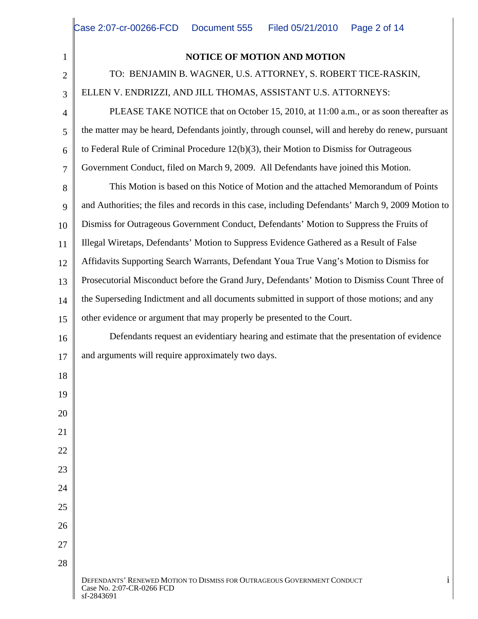| <b>NOTICE OF MOTION AND MOTION</b><br>TO: BENJAMIN B. WAGNER, U.S. ATTORNEY, S. ROBERT TICE-RASKIN,<br>ELLEN V. ENDRIZZI, AND JILL THOMAS, ASSISTANT U.S. ATTORNEYS:<br>PLEASE TAKE NOTICE that on October 15, 2010, at 11:00 a.m., or as soon thereafter as<br>$\vert$ the matter may be heard, Defendants jointly, through counsel, will and hereby do renew, pursuant<br>$\begin{bmatrix} 6 \end{bmatrix}$ to Federal Rule of Criminal Procedure 12(b)(3), their Motion to Dismiss for Outrageous<br>Government Conduct, filed on March 9, 2009. All Defendants have joined this Motion.<br>This Motion is based on this Notice of Motion and the attached Memorandum of Points<br>8 <sub>1</sub><br>9 and Authorities; the files and records in this case, including Defendants' March 9, 2009 Motion to<br>10   Dismiss for Outrageous Government Conduct, Defendants' Motion to Suppress the Fruits of<br>11    Illegal Wiretaps, Defendants' Motion to Suppress Evidence Gathered as a Result of False<br>12   Affidavits Supporting Search Warrants, Defendant Youa True Vang's Motion to Dismiss for<br>13   Prosecutorial Misconduct before the Grand Jury, Defendants' Motion to Dismiss Count Three of<br>14   the Superseding Indictment and all documents submitted in support of those motions; and any<br>15 other evidence or argument that may properly be presented to the Court.<br>Defendants request an evidentiary hearing and estimate that the presentation of evidence<br>16<br>and arguments will require approximately two days.<br>18<br>19<br>20<br>21<br>$22^{\circ}$<br>44<br>23<br>24<br>25<br>26<br>27<br>28<br>DEFENDANTS' RENEWED MOTION TO DISMISS FOR OUTRAGEOUS GOVERNMENT CONDUCT |  |
|---------------------------------------------------------------------------------------------------------------------------------------------------------------------------------------------------------------------------------------------------------------------------------------------------------------------------------------------------------------------------------------------------------------------------------------------------------------------------------------------------------------------------------------------------------------------------------------------------------------------------------------------------------------------------------------------------------------------------------------------------------------------------------------------------------------------------------------------------------------------------------------------------------------------------------------------------------------------------------------------------------------------------------------------------------------------------------------------------------------------------------------------------------------------------------------------------------------------------------------------------------------------------------------------------------------------------------------------------------------------------------------------------------------------------------------------------------------------------------------------------------------------------------------------------------------------------------------------------------------------------------------------------------------------------------------------------------------------------|--|
|                                                                                                                                                                                                                                                                                                                                                                                                                                                                                                                                                                                                                                                                                                                                                                                                                                                                                                                                                                                                                                                                                                                                                                                                                                                                                                                                                                                                                                                                                                                                                                                                                                                                                                                           |  |
|                                                                                                                                                                                                                                                                                                                                                                                                                                                                                                                                                                                                                                                                                                                                                                                                                                                                                                                                                                                                                                                                                                                                                                                                                                                                                                                                                                                                                                                                                                                                                                                                                                                                                                                           |  |
|                                                                                                                                                                                                                                                                                                                                                                                                                                                                                                                                                                                                                                                                                                                                                                                                                                                                                                                                                                                                                                                                                                                                                                                                                                                                                                                                                                                                                                                                                                                                                                                                                                                                                                                           |  |
|                                                                                                                                                                                                                                                                                                                                                                                                                                                                                                                                                                                                                                                                                                                                                                                                                                                                                                                                                                                                                                                                                                                                                                                                                                                                                                                                                                                                                                                                                                                                                                                                                                                                                                                           |  |
|                                                                                                                                                                                                                                                                                                                                                                                                                                                                                                                                                                                                                                                                                                                                                                                                                                                                                                                                                                                                                                                                                                                                                                                                                                                                                                                                                                                                                                                                                                                                                                                                                                                                                                                           |  |
|                                                                                                                                                                                                                                                                                                                                                                                                                                                                                                                                                                                                                                                                                                                                                                                                                                                                                                                                                                                                                                                                                                                                                                                                                                                                                                                                                                                                                                                                                                                                                                                                                                                                                                                           |  |
|                                                                                                                                                                                                                                                                                                                                                                                                                                                                                                                                                                                                                                                                                                                                                                                                                                                                                                                                                                                                                                                                                                                                                                                                                                                                                                                                                                                                                                                                                                                                                                                                                                                                                                                           |  |
|                                                                                                                                                                                                                                                                                                                                                                                                                                                                                                                                                                                                                                                                                                                                                                                                                                                                                                                                                                                                                                                                                                                                                                                                                                                                                                                                                                                                                                                                                                                                                                                                                                                                                                                           |  |
|                                                                                                                                                                                                                                                                                                                                                                                                                                                                                                                                                                                                                                                                                                                                                                                                                                                                                                                                                                                                                                                                                                                                                                                                                                                                                                                                                                                                                                                                                                                                                                                                                                                                                                                           |  |
|                                                                                                                                                                                                                                                                                                                                                                                                                                                                                                                                                                                                                                                                                                                                                                                                                                                                                                                                                                                                                                                                                                                                                                                                                                                                                                                                                                                                                                                                                                                                                                                                                                                                                                                           |  |
|                                                                                                                                                                                                                                                                                                                                                                                                                                                                                                                                                                                                                                                                                                                                                                                                                                                                                                                                                                                                                                                                                                                                                                                                                                                                                                                                                                                                                                                                                                                                                                                                                                                                                                                           |  |
|                                                                                                                                                                                                                                                                                                                                                                                                                                                                                                                                                                                                                                                                                                                                                                                                                                                                                                                                                                                                                                                                                                                                                                                                                                                                                                                                                                                                                                                                                                                                                                                                                                                                                                                           |  |
|                                                                                                                                                                                                                                                                                                                                                                                                                                                                                                                                                                                                                                                                                                                                                                                                                                                                                                                                                                                                                                                                                                                                                                                                                                                                                                                                                                                                                                                                                                                                                                                                                                                                                                                           |  |
|                                                                                                                                                                                                                                                                                                                                                                                                                                                                                                                                                                                                                                                                                                                                                                                                                                                                                                                                                                                                                                                                                                                                                                                                                                                                                                                                                                                                                                                                                                                                                                                                                                                                                                                           |  |
|                                                                                                                                                                                                                                                                                                                                                                                                                                                                                                                                                                                                                                                                                                                                                                                                                                                                                                                                                                                                                                                                                                                                                                                                                                                                                                                                                                                                                                                                                                                                                                                                                                                                                                                           |  |
|                                                                                                                                                                                                                                                                                                                                                                                                                                                                                                                                                                                                                                                                                                                                                                                                                                                                                                                                                                                                                                                                                                                                                                                                                                                                                                                                                                                                                                                                                                                                                                                                                                                                                                                           |  |
|                                                                                                                                                                                                                                                                                                                                                                                                                                                                                                                                                                                                                                                                                                                                                                                                                                                                                                                                                                                                                                                                                                                                                                                                                                                                                                                                                                                                                                                                                                                                                                                                                                                                                                                           |  |
|                                                                                                                                                                                                                                                                                                                                                                                                                                                                                                                                                                                                                                                                                                                                                                                                                                                                                                                                                                                                                                                                                                                                                                                                                                                                                                                                                                                                                                                                                                                                                                                                                                                                                                                           |  |
|                                                                                                                                                                                                                                                                                                                                                                                                                                                                                                                                                                                                                                                                                                                                                                                                                                                                                                                                                                                                                                                                                                                                                                                                                                                                                                                                                                                                                                                                                                                                                                                                                                                                                                                           |  |
|                                                                                                                                                                                                                                                                                                                                                                                                                                                                                                                                                                                                                                                                                                                                                                                                                                                                                                                                                                                                                                                                                                                                                                                                                                                                                                                                                                                                                                                                                                                                                                                                                                                                                                                           |  |
|                                                                                                                                                                                                                                                                                                                                                                                                                                                                                                                                                                                                                                                                                                                                                                                                                                                                                                                                                                                                                                                                                                                                                                                                                                                                                                                                                                                                                                                                                                                                                                                                                                                                                                                           |  |
|                                                                                                                                                                                                                                                                                                                                                                                                                                                                                                                                                                                                                                                                                                                                                                                                                                                                                                                                                                                                                                                                                                                                                                                                                                                                                                                                                                                                                                                                                                                                                                                                                                                                                                                           |  |
|                                                                                                                                                                                                                                                                                                                                                                                                                                                                                                                                                                                                                                                                                                                                                                                                                                                                                                                                                                                                                                                                                                                                                                                                                                                                                                                                                                                                                                                                                                                                                                                                                                                                                                                           |  |
|                                                                                                                                                                                                                                                                                                                                                                                                                                                                                                                                                                                                                                                                                                                                                                                                                                                                                                                                                                                                                                                                                                                                                                                                                                                                                                                                                                                                                                                                                                                                                                                                                                                                                                                           |  |
|                                                                                                                                                                                                                                                                                                                                                                                                                                                                                                                                                                                                                                                                                                                                                                                                                                                                                                                                                                                                                                                                                                                                                                                                                                                                                                                                                                                                                                                                                                                                                                                                                                                                                                                           |  |
|                                                                                                                                                                                                                                                                                                                                                                                                                                                                                                                                                                                                                                                                                                                                                                                                                                                                                                                                                                                                                                                                                                                                                                                                                                                                                                                                                                                                                                                                                                                                                                                                                                                                                                                           |  |
|                                                                                                                                                                                                                                                                                                                                                                                                                                                                                                                                                                                                                                                                                                                                                                                                                                                                                                                                                                                                                                                                                                                                                                                                                                                                                                                                                                                                                                                                                                                                                                                                                                                                                                                           |  |
|                                                                                                                                                                                                                                                                                                                                                                                                                                                                                                                                                                                                                                                                                                                                                                                                                                                                                                                                                                                                                                                                                                                                                                                                                                                                                                                                                                                                                                                                                                                                                                                                                                                                                                                           |  |
| Case No. 2:07-CR-0266 FCD                                                                                                                                                                                                                                                                                                                                                                                                                                                                                                                                                                                                                                                                                                                                                                                                                                                                                                                                                                                                                                                                                                                                                                                                                                                                                                                                                                                                                                                                                                                                                                                                                                                                                                 |  |

 $\text{sf-2843691}$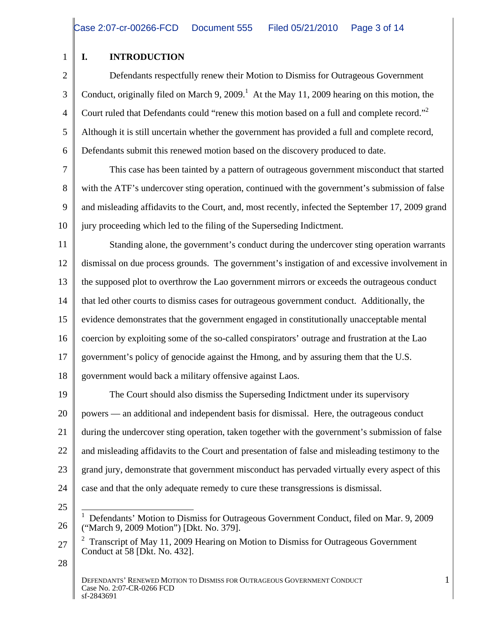#### 1 | I. INTRODUCTION **I. INTRODUCTION**

2 **Defendants respectfully renew their Motion to Dismiss for Outrageous Government** 3 Conduct, originally filed on March 9, 2009.<sup>1</sup> At the May 11, 2009 hearing on this motion, the 4 Court ruled that Defendants could "renew this motion based on a full and complete record."  $\frac{4}{5}$  Court ruled that Defendants could "renew this motion based on a full and complete record."<br>
Although it is still uncertain whether the government has provided a full and complete record, 6 Defendants submit this renewed motion based on the discovery produced to date.

This case has been tainted by a pattern of outrageous government misconduct that started<br>This case has been tainted by a pattern of outrageous government misconduct that started 8 with the ATF's undercover sting operation, continued with the government's submission of false 9 and misleading affidavits to the Court, and, most recently, infected the September 17, 2009 grand 10 iury proceeding which led to the filing of the Superseding Indictment.

11 Standing alone, the government's conduct during the undercover sting operation warrants 12 dismissal on due process grounds. The government's instigation of and excessive involvement in 13 the supposed plot to overthrow the Lao government mirrors or exceeds the outrageous conduct 14  $\parallel$  that led other courts to dismiss cases for outrageous government conduct. Additionally, the 15 vidence demonstrates that the government engaged in constitutionally unacceptable mental 16 coercion by exploiting some of the so-called conspirators' outrage and frustration at the Lao 17 government's policy of genocide against the Hmong, and by assuring them that the U.S. 18 government would back a military offensive against Laos.

19 The Court should also dismiss the Superseding Indictment under its supervisory 20 | powers — an additional and independent basis for dismissal. Here, the outrageous conduct 21 during the undercover sting operation, taken together with the government's submission of false 22 | and misleading affidavits to the Court and presentation of false and misleading testimony to the 23 grand jury, demonstrate that government misconduct has pervaded virtually every aspect of this 24  $\parallel$  case and that the only adequate remedy to cure these transgressions is dismissal.

25

- $27 \parallel \frac{2}{5}$  Transcript of May 11, 2009 Hearing on Motion to Dismiss for Outrageous Government Conduct at 58 [Dkt. No. 432].
- $28 \parallel$

<sup>26</sup> ("March 9, 2009 Motion") [Dkt. No. 379]. 1 Defendants' Motion to Dismiss for Outrageous Government Conduct, filed on Mar. 9, 2009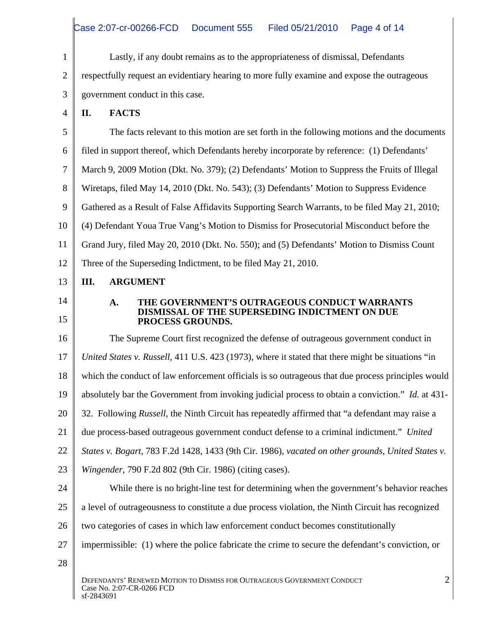1 Lastly, if any doubt remains as to the appropriateness of dismissal, Defendants 2 T respectfully request an evidentiary hearing to more fully examine and expose the outrageous 3 government conduct in this case.

 $4 \parallel$  II. FACTS **II. FACTS**

 The facts relevant to this motion are set forth in the following motions and the documents filed in support thereof, which Defendants hereby incorporate by reference: (1) Defendants' March 9, 2009 Motion (Dkt. No. 379); (2) Defendants' Motion to Suppress the Fruits of Illegal Wiretaps, filed May 14, 2010 (Dkt. No. 543); (3) Defendants' Motion to Suppress Evidence Gathered as a Result of False Affidavits Supporting Search Warrants, to be filed May 21, 2010; 10 | (4) Defendant Youa True Vang's Motion to Dismiss for Prosecutorial Misconduct before the 11 Crand Jury, filed May 20, 2010 (Dkt. No. 550); and (5) Defendants' Motion to Dismiss Count Three of the Superseding Indictment, to be filed May 21, 2010.

### $13$  | III. ARGUMENT **III. ARGUMENT**

## 14 A. THE GOVERNMENT'S OUTRAGEOUS CONDUCT WARRANTS 15 PROCESS GROUNDS. **DISMISSAL OF THE SUPERSEDING INDICTMENT ON DUE PROCESS GROUNDS.**

16 The Supreme Court first recognized the defense of outrageous government conduct in 17 *United States v. Russell*, 411 U.S. 423 (1973), where it stated that there might be situations "in 18 which the conduct of law enforcement officials is so outrageous that due process principles would 19 absolutely bar the Government from invoking judicial process to obtain a conviction." *Id.* at 431- 20 | 32. Following *Russell*, the Ninth Circuit has repeatedly affirmed that "a defendant may raise a 21 due process-based outrageous government conduct defense to a criminal indictment." *United*  22 *States v. Bogart*, 783 F.2d 1428, 1433 (9th Cir. 1986), *vacated on other grounds*, *United States v.*  23 *Wingender*, 790 F.2d 802 (9th Cir. 1986) (citing cases). 24 While there is no bright-line test for determining when the government's behavior reaches 25 | a level of outrageousness to constitute a due process violation, the Ninth Circuit has recognized 26 | two categories of cases in which law enforcement conduct becomes constitutionally 27 | impermissible: (1) where the police fabricate the crime to secure the defendant's conviction, or  $28 \parallel$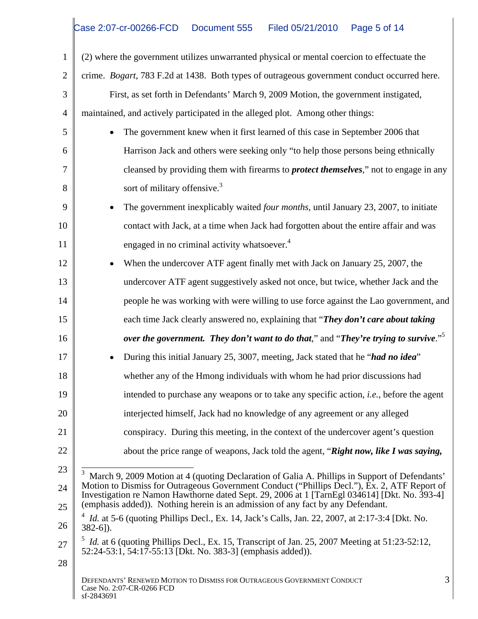1 (2) where the government utilizes unwarranted physical or mental coercion to effectuate the 2 crime. *Bogart*, 783 F.2d at 1438. Both types of outrageous government conduct occurred here. 3 First, as set forth in Defendants' March 9, 2009 Motion, the government instigated, 4 maintained, and actively participated in the alleged plot. Among other things: 5 The government knew when it first learned of this case in September 2006 that 6 Harrison Jack and others were seeking only "to help those persons being ethnically 7 cleansed by providing them with firearms to *protect themselves*," not to engage in any 8 | sort of military offensive.<sup>3</sup> 8<br>
9 **Solution** Sort of military offensive.<sup>3</sup><br>
9 **The government inexplicably waited** *four months*, until January 23, 2007, to initiate 10 contact with Jack, at a time when Jack had forgotten about the entire affair and was 11 engaged in no criminal activity whatsoever.<sup>4</sup> 11 engaged in no criminal activity whatsoever.<sup>4</sup><br>12 • When the undercover ATF agent finally met with Jack on January 25, 2007, the 13 undercover ATF agent suggestively asked not once, but twice, whether Jack and the 14 **||** people he was working with were willing to use force against the Lao government, and  $\vert$ 15 **each time Jack clearly answered no, explaining that "***They don't care about taking* 16 *over the government. They don't want to do that,"* **and "***They're trying to survive***."<sup>5</sup>** 17 **•** During this initial January 25, 3007, meeting, Jack stated that he "*had no idea*" 18 whether any of the Hmong individuals with whom he had prior discussions had 19 intended to purchase any weapons or to take any specific action, *i.e.*, before the agent 20 | interjected himself, Jack had no knowledge of any agreement or any alleged 21 Conspiracy. During this meeting, in the context of the undercover agent's question 22 | about the price range of weapons, Jack told the agent, "**Right now, like I was saying,** 23  $\frac{1}{3}$  March 9, 2009 Motion at 4 (quoting Declaration of Galia A. Phillips in Support of Defendants' 24 Motion to Dismiss for Outrageous Government Conduct ("Phillips Decl."), Ex. 2, ATF Report of  $25 \parallel$  (emphasis added)). Nothing herein is an admission of any fact by any Defendant.  $26 \parallel 382-61$ ).  $27 \parallel$ <sup>5</sup> *Id.* at 6 (quoting Phillips Decl., Ex. 15, Transcript of Jan. 25, 2007 Meeting at 51:23-52:12,  $28 \parallel$ DEFENDANTS' RENEWED MOTION TO DISMISS FOR OUTRAGEOUS GOVERNMENT CONDUCT 3<br>Case No. 2:07-CR-0266 FCD Case No. 2:07-CR-0266 FCD  $\text{sf-2843691}$ 3 sort of military offensive.<sup>3</sup> Investigation re Namon Hawthorne dated Sept. 29, 2006 at 1 [TarnEgl 034614] [Dkt. No. 393-4] <sup>4</sup> *Id.* at 5-6 (quoting Phillips Decl., Ex. 14, Jack's Calls, Jan. 22, 2007, at 2:17-3:4 [Dkt. No. 382-6]). 52:24-53:1, 54:17-55:13 [Dkt. No. 383-3] (emphasis added)).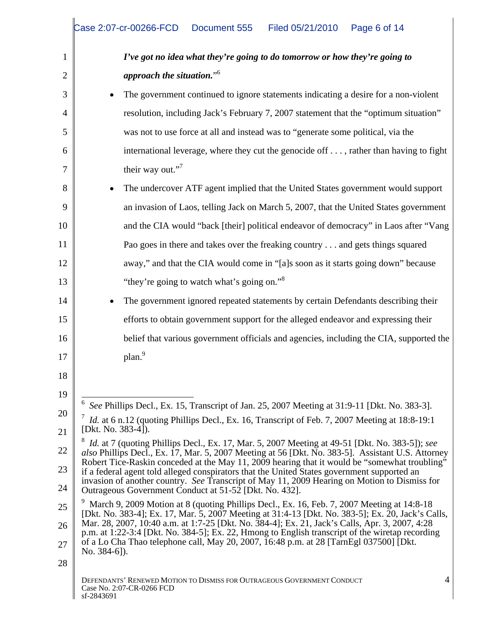|    | Case 2:07-cr-00266-FCD  Document 555  Filed 05/21/2010  Page 6 of 14                                                                                                                                |
|----|-----------------------------------------------------------------------------------------------------------------------------------------------------------------------------------------------------|
|    | I've got no idea what they're going to do tomorrow or how they're going to                                                                                                                          |
|    | approach the situation." $6$                                                                                                                                                                        |
|    | • The government continued to ignore statements indicating a desire for a non-violent                                                                                                               |
|    | resolution, including Jack's February 7, 2007 statement that the "optimum situation"                                                                                                                |
|    | was not to use force at all and instead was to "generate some political, via the                                                                                                                    |
|    | international leverage, where they cut the genocide off , rather than having to fight                                                                                                               |
|    | their way out." $7$                                                                                                                                                                                 |
|    | • The undercover ATF agent implied that the United States government would support                                                                                                                  |
|    | an invasion of Laos, telling Jack on March 5, 2007, that the United States government                                                                                                               |
|    | and the CIA would "back [their] political endeavor of democracy" in Laos after "Vang                                                                                                                |
|    | Pao goes in there and takes over the freaking country and gets things squared                                                                                                                       |
|    | away," and that the CIA would come in "[a]s soon as it starts going down" because                                                                                                                   |
|    | "they're going to watch what's going on." <sup>8</sup>                                                                                                                                              |
|    | • The government ignored repeated statements by certain Defendants describing their                                                                                                                 |
|    | efforts to obtain government support for the alleged endeavor and expressing their                                                                                                                  |
|    | belief that various government officials and agencies, including the CIA, supported the                                                                                                             |
|    | plan <sup>9</sup>                                                                                                                                                                                   |
|    |                                                                                                                                                                                                     |
|    |                                                                                                                                                                                                     |
|    | See Phillips Decl., Ex. 15, Transcript of Jan. 25, 2007 Meeting at 31:9-11 [Dkt. No. 383-3].                                                                                                        |
|    | <i>Id.</i> at 6 n.12 (quoting Phillips Decl., Ex. 16, Transcript of Feb. 7, 2007 Meeting at 18:8-19:1<br>[Dkt. No. 383-4]).                                                                         |
|    | $H$ <i>Id.</i> at 7 (quoting Phillips Decl., Ex. 17, Mar. 5, 2007 Meeting at 49-51 [Dkt. No. 383-5]); see                                                                                           |
|    | also Phillips Decl., Ex. 17, Mar. 5, 2007 Meeting at 56 [Dkt. No. 383-5]. Assistant U.S. Attorney<br>Robert Tice-Raskin conceded at the May 11, 2009 hearing that it would be "somewhat troubling"  |
|    | if a federal agent told alleged conspirators that the United States government supported an<br>invasion of another country. See Transcript of May 11, 2009 Hearing on Motion to Dismiss for         |
|    | Outrageous Government Conduct at 51-52 [Dkt. No. 432].<br>March 9, 2009 Motion at 8 (quoting Phillips Decl., Ex. 16, Feb. 7, 2007 Meeting at 14:8-18                                                |
|    | [Dkt. No. 383-4]; Ex. 17, Mar. 5, 2007 Meeting at 31:4-13 [Dkt. No. 383-5]; Ex. 20, Jack's Calls,<br>Mar. 28, 2007, 10:40 a.m. at 1:7-25 [Dkt. No. 384-4]; Ex. 21, Jack's Calls, Apr. 3, 2007, 4:28 |
|    | p.m. at 1:22-3:4 [Dkt. No. 384-5]; Ex. 22, Hmong to English transcript of the wiretap recording<br>of a Lo Cha Thao telephone call, May 20, 2007, 16:48 p.m. at 28 [TarnEgl 037500] [Dkt.           |
|    | No. $384-6$ ]).                                                                                                                                                                                     |
| 28 |                                                                                                                                                                                                     |
|    | DEFENDANTS' RENEWED MOTION TO DISMISS FOR OUTRAGEOUS GOVERNMENT CONDUCT<br>Case No. 2:07-CR-0266 FCD                                                                                                |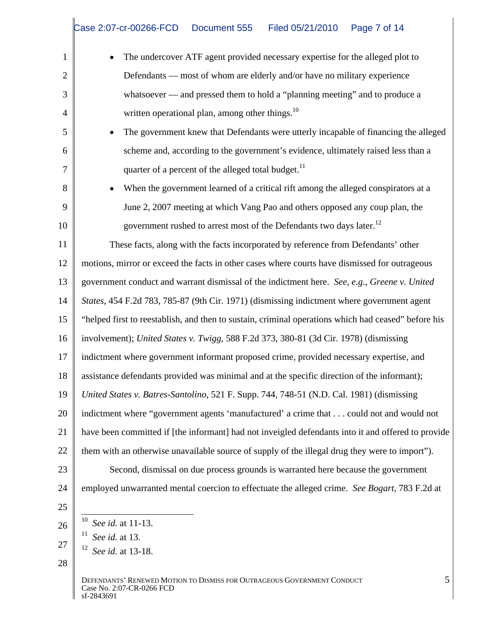|        | • The undercover ATF agent provided necessary expertise for the alleged plot to                               |
|--------|---------------------------------------------------------------------------------------------------------------|
|        | Defendants — most of whom are elderly and/or have no military experience                                      |
|        | - and pressed them to hold a "planning meeting" and to produce a<br>whatsoever                                |
|        | written operational plan, among other things. <sup>10</sup>                                                   |
|        | • The government knew that Defendants were utterly incapable of financing the alleged                         |
|        | scheme and, according to the government's evidence, ultimately raised less than a                             |
|        | quarter of a percent of the alleged total budget. <sup>11</sup>                                               |
|        | • When the government learned of a critical rift among the alleged conspirators at a                          |
|        | June 2, 2007 meeting at which Vang Pao and others opposed any coup plan, the                                  |
|        | government rushed to arrest most of the Defendants two days later. <sup>12</sup>                              |
|        | These facts, along with the facts incorporated by reference from Defendants' other                            |
|        | motions, mirror or exceed the facts in other cases where courts have dismissed for outrageous                 |
|        | 13   government conduct and warrant dismissal of the indictment here. See, e.g., Greene v. United             |
|        | 14   <i>States</i> , 454 F.2d 783, 785-87 (9th Cir. 1971) (dismissing indictment where government agent       |
|        | 15   "helped first to reestablish, and then to sustain, criminal operations which had ceased" before his      |
|        | 16   involvement); United States v. Twigg, 588 F.2d 373, 380-81 (3d Cir. 1978) (dismissing                    |
|        | indictment where government informant proposed crime, provided necessary expertise, and                       |
|        | 18 assistance defendants provided was minimal and at the specific direction of the informant);                |
|        | 19   United States v. Batres-Santolino, 521 F. Supp. 744, 748-51 (N.D. Cal. 1981) (dismissing                 |
|        | 20   indictment where "government agents 'manufactured' a crime that could not and would not                  |
|        | 21   have been committed if [the informant] had not inveigled defendants into it and offered to provide       |
|        | 22 $\parallel$ them with an otherwise unavailable source of supply of the illegal drug they were to import"). |
| $23 -$ | Second, dismissal on due process grounds is warranted here because the government                             |
|        | 24 mployed unwarranted mental coercion to effectuate the alleged crime. See Bogart, 783 F.2d at               |
|        |                                                                                                               |
|        | $10$ <i>See id.</i> at 11-13.                                                                                 |
|        | $11$ <i>See id.</i> at 13.<br>$12$ See id. at 13-18.                                                          |
|        |                                                                                                               |
|        |                                                                                                               |

Ш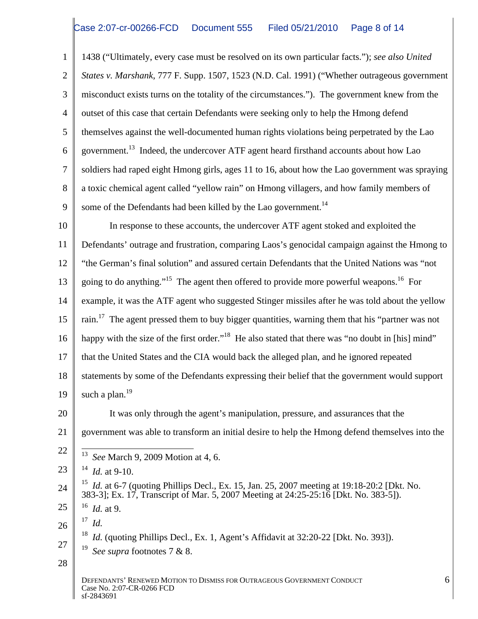1 1438 ("Ultimately, every case must be resolved on its own particular facts."); *see also United*  2 *States v. Marshank*, 777 F. Supp. 1507, 1523 (N.D. Cal. 1991) ("Whether outrageous government 3 misconduct exists turns on the totality of the circumstances."). The government knew from the 4 | outset of this case that certain Defendants were seeking only to help the Hmong defend 5 themselves against the well-documented human rights violations being perpetrated by the Lao 6 government.<sup>13</sup> Indeed, the undercover ATF agent heard firsthand accounts about how Lao 7 soldiers had raped eight Hmong girls, ages 11 to 16, about how the Lao government was spraying 8 a toxic chemical agent called "yellow rain" on Hmong villagers, and how family members of 9 some of the Defendants had been killed by the Lao government.<sup>14</sup> 9 some of the Defendants had been killed by the Lao government.<sup>14</sup><br>10 In response to these accounts, the undercover ATF agent stoked and exploited the

11 Defendants' outrage and frustration, comparing Laos's genocidal campaign against the Hmong to 12 "the German's final solution" and assured certain Defendants that the United Nations was "not 13 going to do anything."<sup>15</sup> The agent then offered to provide more powerful weapons.<sup>16</sup> For 14 example, it was the ATF agent who suggested Stinger missiles after he was told about the yellow  $15 \parallel$  rain.<sup>17</sup> The agent pressed them to buy bigger quantities, warning them that his "partner was not 16  $\parallel$  happy with the size of the first order."<sup>18</sup> He also stated that there was "no doubt in [his] mind" 17 || that the United States and the CIA would back the alleged plan, and he ignored repeated 18 statements by some of the Defendants expressing their belief that the government would support  $19 \parallel$  such a plan.<sup>19</sup>  $\begin{array}{c|c} 19 & \text{such a plan.}^{19} \\ & \text{It was only through the agent's manipulation, pressure, and assumes that the} \end{array}$ 21 | government was able to transform an initial desire to help the Hmong defend themselves into the  $22 \parallel \frac{13}{13}$  c M 1.0.2000 M is  $4.6$  $23 \parallel$  <sup>14</sup> *Id.* at 9-10. 24  $\parallel$  <sup>15</sup> *Id.* at 6-7 (quoting Phillips Decl., Ex. 15, Jan. 25, 2007 meeting at 19:18-20:2 [Dkt. No.  $25 \parallel$  16 *Id.* at 9. such a plan.<sup>19</sup>  $\frac{13}{13}$  See March 0, 2000 Motion at 4.6 *See* March 9, 2009 Motion at 4, 6.  $14$  *Id.* at 9-10. 383-3]; Ex. 17, Transcript of Mar. 5, 2007 Meeting at 24:25-25:16 [Dkt. No. 383-5]).  $^{16}$  *L* at 0 *Id.* at 9.

 $26 \parallel$   $10$ . <sup>17</sup> *Id.*

 $27 \parallel_{19}$  g c c i  $7.8 \times 2$ <sup>18</sup> *Id.* (quoting Phillips Decl., Ex. 1, Agent's Affidavit at 32:20-22 [Dkt. No. 393]). <sup>19</sup> See supra footnotes 7 & 8.

 $28 \parallel$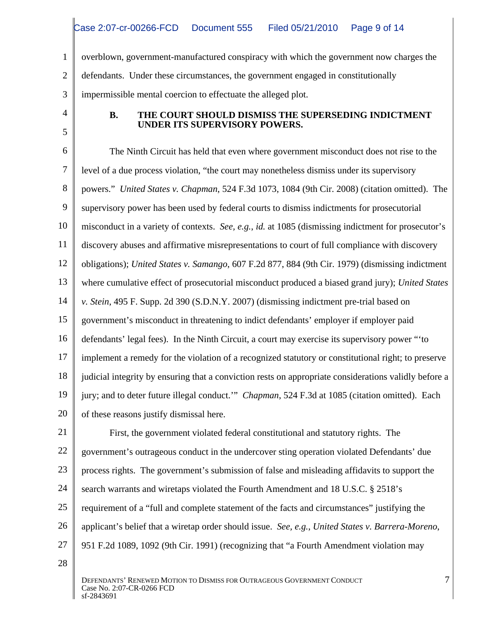1 overblown, government-manufactured conspiracy with which the government now charges the 2 defendants. Under these circumstances, the government engaged in constitutionally 3 impermissible mental coercion to effectuate the alleged plot.

# 4 **B. THE COURT SHOULD DISMISS THE SUPERSEDING INDICTMENT**   $5<sub>1</sub>$ **UNDER ITS SUPERVISORY POWERS.**

6 The Ninth Circuit has held that even where government misconduct does not rise to the 7 level of a due process violation, "the court may nonetheless dismiss under its supervisory 8 powers." *United States v. Chapman*, 524 F.3d 1073, 1084 (9th Cir. 2008) (citation omitted). The 9 supervisory power has been used by federal courts to dismiss indictments for prosecutorial 10 misconduct in a variety of contexts. *See, e.g., id.* at 1085 (dismissing indictment for prosecutor's 11 discovery abuses and affirmative misrepresentations to court of full compliance with discovery 12 obligations); *United States v. Samango*, 607 F.2d 877, 884 (9th Cir. 1979) (dismissing indictment 13 where cumulative effect of prosecutorial misconduct produced a biased grand jury); *United States*  14 *v. Stein*, 495 F. Supp. 2d 390 (S.D.N.Y. 2007) (dismissing indictment pre-trial based on 15 government's misconduct in threatening to indict defendants' employer if employer paid 16 defendants' legal fees). In the Ninth Circuit, a court may exercise its supervisory power "to 17 implement a remedy for the violation of a recognized statutory or constitutional right; to preserve  $\vert$ 18 igulicial integrity by ensuring that a conviction rests on appropriate considerations validly before a 19 jury; and to deter future illegal conduct." *Chapman*, 524 F.3d at 1085 (citation omitted). Each 20 of these reasons justify dismissal here.

21 First, the government violated federal constitutional and statutory rights. The 22 | government's outrageous conduct in the undercover sting operation violated Defendants' due 23 | process rights. The government's submission of false and misleading affidavits to support the 24 search warrants and wiretaps violated the Fourth Amendment and 18 U.S.C. § 2518's 25 | requirement of a "full and complete statement of the facts and circumstances" justifying the 26 | applicant's belief that a wiretap order should issue. See, e.g., United States v. Barrera-Moreno, 26 applicant's belief that a wiretap order should issue. *See, e.g., United States v. Barrera-Moreno*, 951 F.2d 1089, 1092 (9th Cir. 1991) (recognizing that "a Fourth Amendment violation may

 $28 \parallel$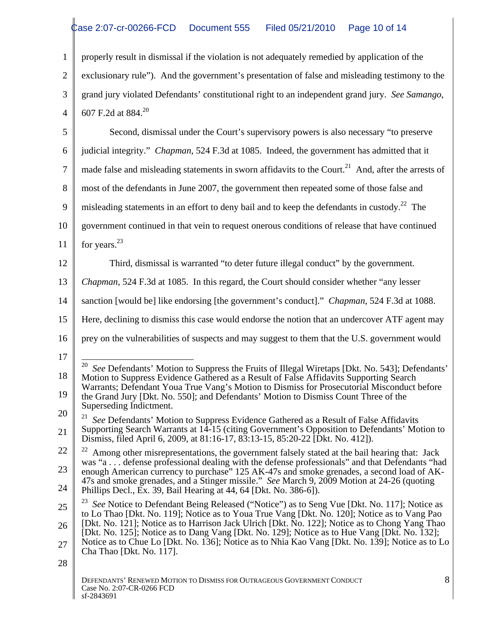1 properly result in dismissal if the violation is not adequately remedied by application of the 2 exclusionary rule"). And the government's presentation of false and misleading testimony to the grand jury violated Defendants' constitutional right to an independent grand jury. *See Samango*, 607 F.2d at 884.<sup>20</sup> 4 | 607 F.2d at 884.<sup>20</sup>

5 Second, dismissal under the Court's supervisory powers is also necessary "to preserve 6 judicial integrity." *Chapman*, 524 F.3d at 1085. Indeed, the government has admitted that it  $7 \parallel$  made false and misleading statements in sworn affidavits to the Court.<sup>21</sup> And, after the arrests of 8 most of the defendants in June 2007, the government then repeated some of those false and 9 misleading statements in an effort to deny bail and to keep the defendants in custody.<sup>22</sup> The 10 government continued in that vein to request onerous conditions of release that have continued 11 for years.<sup>23</sup> 12 Third, dismissal is warranted "to deter future illegal conduct" by the government. 13 *Chapman*, 524 F.3d at 1085. In this regard, the Court should consider whether "any lesser 14 sanction [would be] like endorsing [the government's conduct]." *Chapman*, 524 F.3d at 1088. 15 Here, declining to dismiss this case would endorse the notion that an undercover ATF agent may 16 prey on the vulnerabilities of suspects and may suggest to them that the U.S. government would 17 18 Motion to Suppress Evidence Gathered as a Result of False Affidavits Supporting Search 19 the Grand Jury [Dkt. No. 550]; and Defendants' Motion to Dismiss Count Three of the 20 21 See Defendants' Motion to Suppress Evidence Gathered as a Result of False Affidavits 21 Supporting Search Warrants at 14-15 (citing Government's Opposition to Defendants' Motion to  $22 \parallel$   $22 \parallel$  Among other misrepresentations, the government falsely stated at the bail hearing that: Jack  $\parallel$ 23 mongh American currency to purchase" 125 AK-47s and smoke grenades, a second load of AK-24 Phillips Decl., Ex. 39, Bail Hearing at 44, 64 [Dkt. No. 386-6]). 25  $\parallel$  <sup>23</sup> See Notice to Defendant Being Released ("Notice") as to Seng Vue [Dkt. No. 117]; Notice as  $_{26}$  | [Dkt. No. 121]; Notice as to Harrison Jack Ulrich [Dkt. No. 122]; Notice as to Chong Yang Thao | 27 Notice as to Chue Lo [Dkt. No. 136]; Notice as to Nhia Kao Vang [Dkt. No. 139]; Notice as to Lo  $\vert$  $28 \parallel$ DEFENDANTS' RENEWED MOTION TO DISMISS FOR OUTRAGEOUS GOVERNMENT CONDUCT The state of the state of the state of the state of the state of the state of the state of the state of the state of the state of the state of the state of the state of the state of the state of the state of the state of t for years. $23$ <sup>20</sup> See Defendants' Motion to Suppress the Fruits of Illegal Wiretaps [Dkt. No. 543]; Defendants' Warrants; Defendant Youa True Vang's Motion to Dismiss for Prosecutorial Misconduct before Superseding Indictment. Dismiss, filed April 6, 2009, at 81:16-17, 83:13-15, 85:20-22 [Dkt. No. 412]). was "a . . . defense professional dealing with the defense professionals" and that Defendants "had 47s and smoke grenades, and a Stinger missile." *See* March 9, 2009 Motion at 24-26 (quoting to Lo Thao [Dkt. No. 119]; Notice as to Youa True Vang [Dkt. No. 120]; Notice as to Vang Pao [Dkt. No. 125]; Notice as to Dang Vang [Dkt. No. 129]; Notice as to Hue Vang [Dkt. No. 132]; Cha Thao [Dkt. No. 117].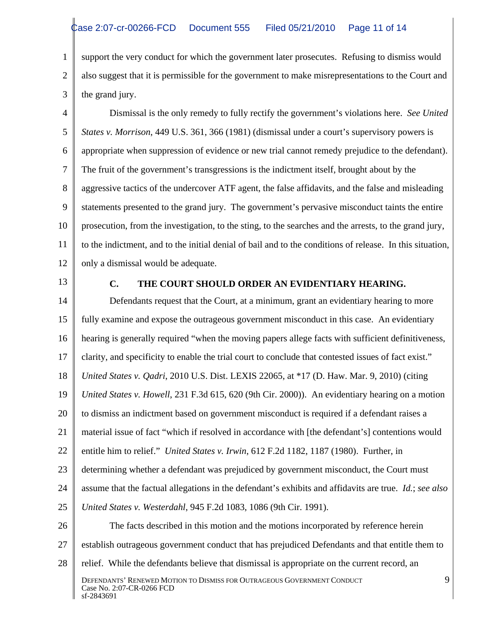1 support the very conduct for which the government later prosecutes. Refusing to dismiss would 2 | also suggest that it is permissible for the government to make misrepresentations to the Court and  $3 \parallel$  the grand jury. the grand jury.

4 Dismissal is the only remedy to fully rectify the government's violations here. *See United*  5 *States v. Morrison*, 449 U.S. 361, 366 (1981) (dismissal under a court's supervisory powers is 6 appropriate when suppression of evidence or new trial cannot remedy prejudice to the defendant). The fruit of the government's transgressions is the indictment itself, brought about by the 7 The fruit of the government's transgressions is the indictment itself, brought about by the 8 aggressive tactics of the undercover ATF agent, the false affidavits, and the false and misleading 9 statements presented to the grand jury. The government's pervasive misconduct taints the entire 10 | prosecution, from the investigation, to the sting, to the searches and the arrests, to the grand jury, 11 | to the indictment, and to the initial denial of bail and to the conditions of release. In this situation, 12 | only a dismissal would be adequate.

# 13 **C. THE COURT SHOULD ORDER AN EVIDENTIARY HEARING.**

14 Defendants request that the Court, at a minimum, grant an evidentiary hearing to more 15 | fully examine and expose the outrageous government misconduct in this case. An evidentiary 16 | hearing is generally required "when the moving papers allege facts with sufficient definitiveness, 17 clarity, and specificity to enable the trial court to conclude that contested issues of fact exist." 18 *United States v. Qadri*, 2010 U.S. Dist. LEXIS 22065, at \*17 (D. Haw. Mar. 9, 2010) (citing 19 *United States v. Howell*, 231 F.3d 615, 620 (9th Cir. 2000)). An evidentiary hearing on a motion 20 | to dismiss an indictment based on government misconduct is required if a defendant raises a 21 | material issue of fact "which if resolved in accordance with [the defendant's] contentions would | 22 | entitle him to relief." *United States v. Irwin*, 612 F.2d 1182, 1187 (1980). Further, in 23 determining whether a defendant was prejudiced by government misconduct, the Court must 24 assume that the factual allegations in the defendant's exhibits and affidavits are true. *Id.*; *see also*  25 *United States v. Westerdahl*, 945 F.2d 1083, 1086 (9th Cir. 1991). 26 The facts described in this motion and the motions incorporated by reference herein 27 | establish outrageous government conduct that has prejudiced Defendants and that entitle them to 28 | relief. While the defendants believe that dismissal is appropriate on the current record, an DEFENDANTS' RENEWED MOTION TO DISMISS FOR OUTRAGEOUS GOVERNMENT CONDUCT 9 (2007-CR-0266 FCD) Case No. 2:07-CR-0266 FCD  $\text{sf-2843691}$ 9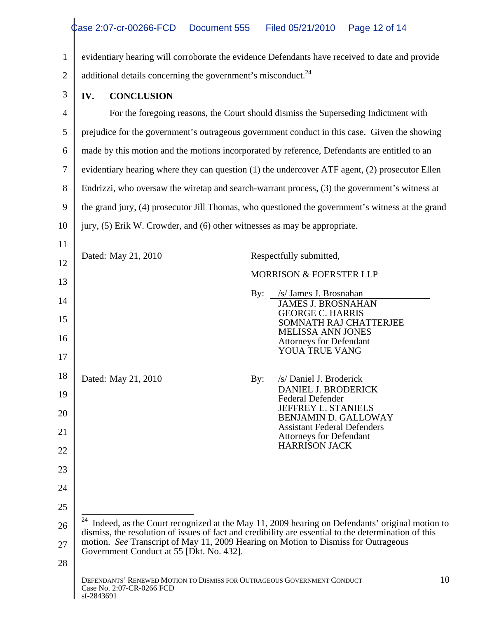|    | videntiary hearing will corroborate the evidence Defendants have received to date and provide                                                                                                                    |
|----|------------------------------------------------------------------------------------------------------------------------------------------------------------------------------------------------------------------|
|    | additional details concerning the government's misconduct. <sup>24</sup>                                                                                                                                         |
|    | <b>IV.</b> CONCLUSION                                                                                                                                                                                            |
|    | For the foregoing reasons, the Court should dismiss the Superseding Indictment with                                                                                                                              |
|    | prejudice for the government's outrageous government conduct in this case. Given the showing                                                                                                                     |
|    | made by this motion and the motions incorporated by reference, Defendants are entitled to an                                                                                                                     |
|    | evidentiary hearing where they can question (1) the undercover ATF agent, (2) prosecutor Ellen                                                                                                                   |
|    | $\parallel$ Endrizzi, who oversaw the wiretap and search-warrant process, (3) the government's witness at                                                                                                        |
|    | 9    the grand jury, (4) prosecutor Jill Thomas, who questioned the government's witness at the grand                                                                                                            |
|    | 10 $\parallel$ jury, (5) Erik W. Crowder, and (6) other witnesses as may be appropriate.                                                                                                                         |
|    |                                                                                                                                                                                                                  |
|    | Dated: May 21, 2010<br>Respectfully submitted,                                                                                                                                                                   |
|    | MORRISON & FOERSTER LLP                                                                                                                                                                                          |
|    | By: /s/ James J. Brosnahan<br><b>JAMES J. BROSNAHAN</b>                                                                                                                                                          |
|    | <b>GEORGE C. HARRIS</b><br>SOMNATH RAJ CHATTERJEE                                                                                                                                                                |
|    | MELISSA ANN JONES<br><b>Attorneys for Defendant</b>                                                                                                                                                              |
|    | YOUA TRUE VANG                                                                                                                                                                                                   |
|    | Dated: May 21, 2010<br>/s/ Daniel J. Broderick<br>By:                                                                                                                                                            |
|    | DANIEL J. BRODERICK<br>Federal Defender                                                                                                                                                                          |
| ነበ | JEFFREY L. STANIELS<br>BENJAMIN D. GALLOWAY                                                                                                                                                                      |
|    | <b>Assistant Federal Defenders</b><br><b>Attorneys for Defendant</b>                                                                                                                                             |
| າາ | HARRISON JACK                                                                                                                                                                                                    |
|    |                                                                                                                                                                                                                  |
|    |                                                                                                                                                                                                                  |
| つく |                                                                                                                                                                                                                  |
|    | <sup>24</sup> Indeed, as the Court recognized at the May 11, 2009 hearing on Defendants' original motion to dismiss, the resolution of issues of fact and credibility are essential to the determination of this |
|    | motion. See Transcript of May 11, 2009 Hearing on Motion to Dismiss for Outrageous<br>Government Conduct at 55 [Dkt. No. 432].                                                                                   |
|    |                                                                                                                                                                                                                  |
|    | DEFENDANTS' RENEWED MOTION TO DISMISS FOR OUTRAGEOUS GOVERNMENT CONDUCT<br>10<br>Case No. 2:07-CR-0266 FCD<br>sf-2843691                                                                                         |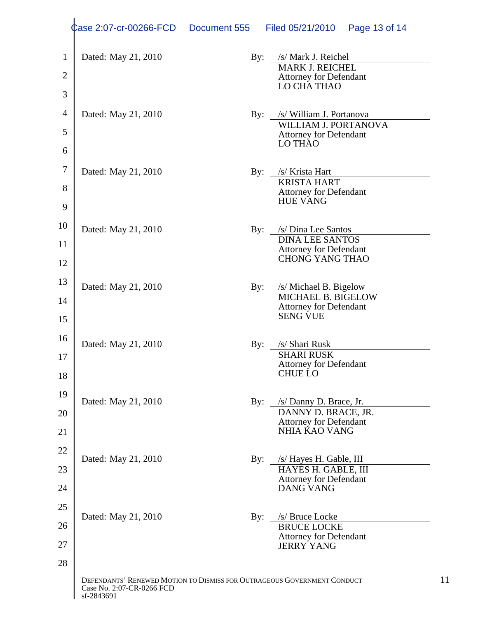|                 | $\phi$ ase 2:07-cr-00266-FCD Document 555 | Filed 05/21/2010  Page 13 of 14                                         |  |
|-----------------|-------------------------------------------|-------------------------------------------------------------------------|--|
|                 | Dated: May 21, 2010                       |                                                                         |  |
|                 |                                           | By: /s/ Mark J. Reichel<br>MARK J. REICHEL<br>Attorney for Defendant    |  |
|                 |                                           | LO CHẢ THAO                                                             |  |
|                 |                                           |                                                                         |  |
|                 | Dated: May 21, 2010                       | By: <u>/s/ William J. Portanova</u><br>WILLIAM J. PORTANOVA             |  |
|                 |                                           | Attorney for Defendant<br>LO THAO                                       |  |
| 6               |                                           |                                                                         |  |
|                 | Dated: May 21, 2010                       | By: /s/ Krista Hart                                                     |  |
|                 |                                           | KRISTA HART                                                             |  |
|                 |                                           | <b>Attorney for Defendant<br/>HUE VANG</b>                              |  |
| $\overline{10}$ |                                           |                                                                         |  |
|                 | Dated: May 21, 2010                       | By: /s/Dina Lee Santos<br><b>DINA LEE SANTOS</b>                        |  |
|                 |                                           | <b>Attorney for Defendant</b><br>CHONG YANG THAO                        |  |
| 12 <sup>°</sup> |                                           |                                                                         |  |
|                 | Dated: May 21, 2010                       | By: /s/ Michael B. Bigelow<br>MICHAEL B. BIGELOW                        |  |
| $\Delta$        |                                           |                                                                         |  |
| 15              |                                           | Attorney for Defendant<br>SENG VUE                                      |  |
|                 |                                           |                                                                         |  |
|                 | Dated: May 21, 2010                       | By: /s/ Shari Rusk<br><b>SHARI RUSK</b>                                 |  |
|                 |                                           | Attorney for Defendant<br>CHUE LO                                       |  |
| 18              |                                           |                                                                         |  |
| 19.             | Dated: May 21, 2010                       | By: /s/ Danny D. Brace, Jr.                                             |  |
|                 |                                           | DANNY D. BRACE, JR.                                                     |  |
|                 |                                           | <b>Attorney for Defendant<br/>NHIA KAO VANG</b>                         |  |
|                 |                                           |                                                                         |  |
|                 | Dated: May 21, 2010                       | By: /s/ Hayes H. Gable, III<br>HAYES H. GABLE, III                      |  |
| 24              |                                           | <b>Attorney for Defendant</b><br>DANG VANG                              |  |
|                 |                                           |                                                                         |  |
|                 | Dated: May 21, 2010                       | By: /s/ Bruce Locke                                                     |  |
|                 |                                           | BRUCE LOCKE<br>Attorney for Defendant                                   |  |
|                 |                                           | JERRY YANG                                                              |  |
| 28              |                                           |                                                                         |  |
|                 |                                           | DEFENDANTS' RENEWED MOTION TO DISMISS FOR OUTRAGEOUS GOVERNMENT CONDUCT |  |
|                 | Case No. 2:07-CR-0266 FCD<br>sf-2843691   |                                                                         |  |